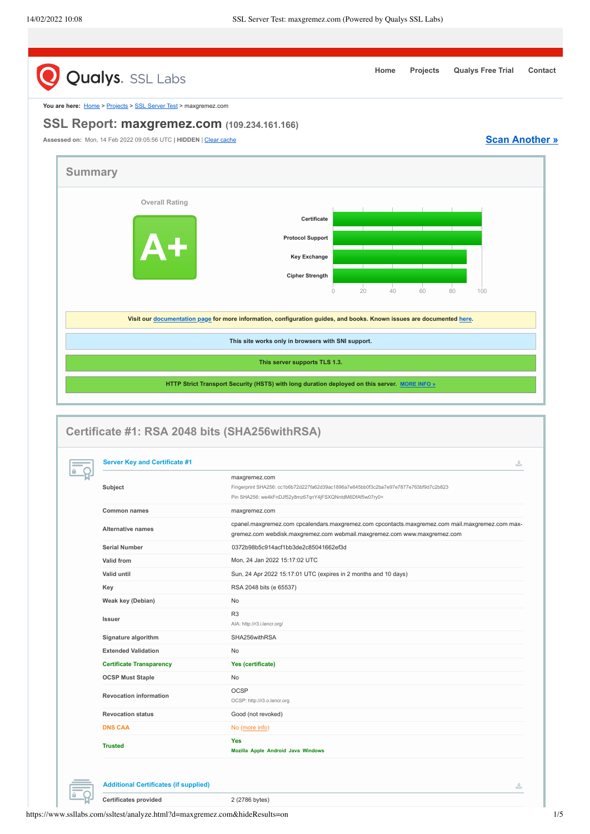<span id="page-0-0"></span>

|                | <b>Qualys.</b> SSL Labs                                           |                                                                                                                                                                             |    |    |           |                       |
|----------------|-------------------------------------------------------------------|-----------------------------------------------------------------------------------------------------------------------------------------------------------------------------|----|----|-----------|-----------------------|
|                | You are here: Home > Projects > SSL Server Test > maxgremez.com   |                                                                                                                                                                             |    |    |           |                       |
|                | SSL Report: maxgremez.com (109.234.161.166)                       |                                                                                                                                                                             |    |    |           |                       |
|                | Assessed on: Mon, 14 Feb 2022 09:05:56 UTC   HIDDEN   Clear cache |                                                                                                                                                                             |    |    |           | <b>Scan Another »</b> |
|                |                                                                   |                                                                                                                                                                             |    |    |           |                       |
| <b>Summary</b> |                                                                   |                                                                                                                                                                             |    |    |           |                       |
|                |                                                                   |                                                                                                                                                                             |    |    |           |                       |
|                | <b>Overall Rating</b>                                             |                                                                                                                                                                             |    |    |           |                       |
|                |                                                                   | Certificate                                                                                                                                                                 |    |    |           |                       |
|                |                                                                   |                                                                                                                                                                             |    |    |           |                       |
|                |                                                                   | <b>Protocol Support</b>                                                                                                                                                     |    |    |           |                       |
|                |                                                                   | <b>Key Exchange</b>                                                                                                                                                         |    |    |           |                       |
|                |                                                                   | <b>Cipher Strength</b>                                                                                                                                                      |    |    |           |                       |
|                |                                                                   | 20                                                                                                                                                                          |    |    |           |                       |
|                |                                                                   | $\circ$                                                                                                                                                                     | 40 | 60 | 80<br>100 |                       |
|                |                                                                   |                                                                                                                                                                             |    |    |           |                       |
|                |                                                                   | Visit our documentation page for more information, configuration guides, and books. Known issues are documented here.                                                       |    |    |           |                       |
|                |                                                                   | This site works only in browsers with SNI support.                                                                                                                          |    |    |           |                       |
|                |                                                                   |                                                                                                                                                                             |    |    |           |                       |
|                |                                                                   | This server supports TLS 1.3.                                                                                                                                               |    |    |           |                       |
|                |                                                                   | HTTP Strict Transport Security (HSTS) with long duration deployed on this server. MORE INFO »                                                                               |    |    |           |                       |
|                |                                                                   |                                                                                                                                                                             |    |    |           |                       |
|                |                                                                   | Certificate #1: RSA 2048 bits (SHA256withRSA)                                                                                                                               |    |    |           |                       |
|                | <b>Server Key and Certificate #1</b>                              |                                                                                                                                                                             |    |    |           | ż,                    |
|                |                                                                   | maxgremez.com                                                                                                                                                               |    |    |           |                       |
|                | Subject                                                           | Fingerprint SHA256: cc1b6b72d227fa62d39ac1896a7e645bb0f3c2ba7e97e7877e763bf9d7c2b823                                                                                        |    |    |           |                       |
|                |                                                                   | Pin SHA256: we4kFnDJf52y8mz67qnY4jFSXQNntdM6DfAf5w07ry0=                                                                                                                    |    |    |           |                       |
|                | Common names                                                      | maxgremez.com                                                                                                                                                               |    |    |           |                       |
|                | <b>Alternative names</b>                                          | cpanel.maxgremez.com cpcalendars.maxgremez.com cpcontacts.maxgremez.com mail.maxgremez.com max-<br>gremez.com webdisk.maxgremez.com webmail.maxgremez.com www.maxgremez.com |    |    |           |                       |
|                | <b>Serial Number</b>                                              | 0372b98b5c914acf1bb3de2c85041662ef3d                                                                                                                                        |    |    |           |                       |
|                | Valid from                                                        | Mon, 24 Jan 2022 15:17:02 UTC                                                                                                                                               |    |    |           |                       |
|                | Valid until                                                       | Sun, 24 Apr 2022 15:17:01 UTC (expires in 2 months and 10 days)                                                                                                             |    |    |           |                       |
|                | Key                                                               | RSA 2048 bits (e 65537)                                                                                                                                                     |    |    |           |                       |
|                | Weak key (Debian)                                                 | No                                                                                                                                                                          |    |    |           |                       |
|                | Issuer                                                            | R <sub>3</sub>                                                                                                                                                              |    |    |           |                       |
|                |                                                                   | AIA: http://r3.i.lencr.org/                                                                                                                                                 |    |    |           |                       |
|                | Signature algorithm                                               | SHA256withRSA                                                                                                                                                               |    |    |           |                       |
|                | <b>Extended Validation</b>                                        | No                                                                                                                                                                          |    |    |           |                       |
|                | <b>Certificate Transparency</b>                                   | Yes (certificate)                                                                                                                                                           |    |    |           |                       |
|                | <b>OCSP Must Staple</b>                                           | No                                                                                                                                                                          |    |    |           |                       |
|                | <b>Revocation information</b>                                     | OCSP<br>OCSP: http://r3.o.lencr.org                                                                                                                                         |    |    |           |                       |
|                | <b>Revocation status</b>                                          | Good (not revoked)                                                                                                                                                          |    |    |           |                       |
|                | <b>DNS CAA</b>                                                    | No (more info)                                                                                                                                                              |    |    |           |                       |

**Additional Certificates (if supplied)**

 $\frac{1}{2m}$ 

la <u>ညှ</u>

https://www.ssllabs.com/ssltest/analyze.html?d=maxgremez.com&hideResults=on 1/5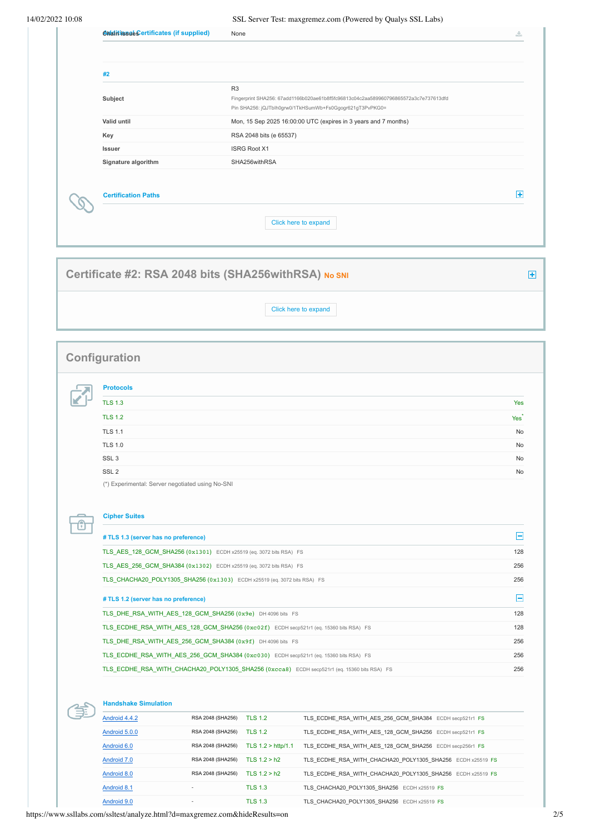| Chaitiissae Certificates (if supplied)                                                      | None                                             |                                                                                                                                                  | ÷.                                                        |
|---------------------------------------------------------------------------------------------|--------------------------------------------------|--------------------------------------------------------------------------------------------------------------------------------------------------|-----------------------------------------------------------|
|                                                                                             |                                                  |                                                                                                                                                  |                                                           |
|                                                                                             |                                                  |                                                                                                                                                  |                                                           |
| #2                                                                                          | R <sub>3</sub>                                   |                                                                                                                                                  |                                                           |
| Subject                                                                                     |                                                  | Fingerprint SHA256: 67add1166b020ae61b8f5fc96813c04c2aa589960796865572a3c7e737613dfd<br>Pin SHA256: jQJTblh0grw0/1TkHSumWb+Fs0Ggogr621gT3PvPKG0= |                                                           |
| Valid until                                                                                 |                                                  | Mon, 15 Sep 2025 16:00:00 UTC (expires in 3 years and 7 months)                                                                                  |                                                           |
| Key                                                                                         | RSA 2048 bits (e 65537)                          |                                                                                                                                                  |                                                           |
| Issuer                                                                                      | <b>ISRG Root X1</b>                              |                                                                                                                                                  |                                                           |
| Signature algorithm                                                                         | SHA256withRSA                                    |                                                                                                                                                  |                                                           |
| <b>Certification Paths</b>                                                                  |                                                  |                                                                                                                                                  | $\left  \cdot \right $                                    |
|                                                                                             |                                                  | Click here to expand                                                                                                                             |                                                           |
|                                                                                             |                                                  |                                                                                                                                                  |                                                           |
| Certificate #2: RSA 2048 bits (SHA256withRSA) No SNI                                        |                                                  |                                                                                                                                                  |                                                           |
|                                                                                             |                                                  | Click here to expand                                                                                                                             |                                                           |
|                                                                                             |                                                  |                                                                                                                                                  |                                                           |
|                                                                                             |                                                  |                                                                                                                                                  |                                                           |
| Configuration                                                                               |                                                  |                                                                                                                                                  |                                                           |
|                                                                                             |                                                  |                                                                                                                                                  |                                                           |
| <b>Protocols</b>                                                                            |                                                  |                                                                                                                                                  |                                                           |
| <b>TLS 1.3</b>                                                                              |                                                  |                                                                                                                                                  | Yes                                                       |
| <b>TLS 1.2</b>                                                                              |                                                  |                                                                                                                                                  | Yes <sup>-</sup>                                          |
| <b>TLS 1.1</b>                                                                              |                                                  |                                                                                                                                                  | No                                                        |
| <b>TLS 1.0</b>                                                                              |                                                  |                                                                                                                                                  |                                                           |
|                                                                                             |                                                  |                                                                                                                                                  |                                                           |
| SSL <sub>3</sub>                                                                            |                                                  |                                                                                                                                                  |                                                           |
| SSL <sub>2</sub>                                                                            |                                                  |                                                                                                                                                  |                                                           |
| (*) Experimental: Server negotiated using No-SNI                                            |                                                  |                                                                                                                                                  |                                                           |
| <b>Cipher Suites</b>                                                                        |                                                  |                                                                                                                                                  |                                                           |
| # TLS 1.3 (server has no preference)                                                        |                                                  |                                                                                                                                                  |                                                           |
| TLS_AES_128_GCM_SHA256 (0x1301) ECDH x25519 (eq. 3072 bits RSA) FS                          |                                                  |                                                                                                                                                  |                                                           |
| TLS AES 256 GCM SHA384 (0x1302) ECDH x25519 (eq. 3072 bits RSA) FS                          |                                                  |                                                                                                                                                  |                                                           |
| TLS_CHACHA20_POLY1305_SHA256 (0x1303) ECDH x25519 (eq. 3072 bits RSA) FS                    |                                                  |                                                                                                                                                  |                                                           |
|                                                                                             |                                                  |                                                                                                                                                  |                                                           |
| # TLS 1.2 (server has no preference)                                                        |                                                  |                                                                                                                                                  |                                                           |
| TLS_DHE_RSA_WITH_AES_128_GCM_SHA256 (0x9e) DH 4096 bits FS                                  |                                                  |                                                                                                                                                  |                                                           |
| TLS_ECDHE_RSA_WITH_AES_128_GCM_SHA256 (0xc02f) ECDH secp521r1 (eq. 15360 bits RSA) FS       |                                                  |                                                                                                                                                  |                                                           |
| TLS_DHE_RSA_WITH_AES_256_GCM_SHA384 (0x9f) DH 4096 bits FS                                  |                                                  |                                                                                                                                                  |                                                           |
| TLS_ECDHE_RSA_WITH_AES_256_GCM_SHA384 (0xc030) ECDH secp521r1 (eq. 15360 bits RSA) FS       |                                                  |                                                                                                                                                  |                                                           |
| TLS_ECDHE_RSA_WITH_CHACHA20_POLY1305_SHA256 (0xcca8) ECDH secp521r1 (eq. 15360 bits RSA) FS |                                                  |                                                                                                                                                  | 128<br>256<br>256<br>Е<br>128<br>128<br>256<br>256<br>256 |
|                                                                                             |                                                  |                                                                                                                                                  |                                                           |
| <b>Handshake Simulation</b>                                                                 |                                                  |                                                                                                                                                  |                                                           |
| Android 4.4.2<br>RSA 2048 (SHA256)                                                          | <b>TLS 1.2</b>                                   | TLS_ECDHE_RSA_WITH_AES_256_GCM_SHA384 ECDH secp521r1 FS                                                                                          |                                                           |
| Android 5.0.0<br>RSA 2048 (SHA256) TLS 1.2                                                  |                                                  | TLS_ECDHE_RSA_WITH_AES_128_GCM_SHA256 ECDH secp521r1 FS                                                                                          |                                                           |
| Android 6.0<br>RSA 2048 (SHA256)                                                            | TLS 1.2 > http/1.1                               | TLS_ECDHE_RSA_WITH_AES_128_GCM_SHA256 ECDH secp256r1 FS                                                                                          |                                                           |
| Android 7.0                                                                                 | RSA 2048 (SHA256) TLS 1.2 > h2                   | TLS_ECDHE_RSA_WITH_CHACHA20_POLY1305_SHA256 ECDH x25519 FS                                                                                       |                                                           |
| Android 8.0<br>Android 8.1<br>$\sim$                                                        | RSA 2048 (SHA256) TLS 1.2 > h2<br><b>TLS 1.3</b> | TLS_ECDHE_RSA_WITH_CHACHA20_POLY1305_SHA256 ECDH x25519 FS<br>TLS_CHACHA20_POLY1305_SHA256 ECDH x25519 FS                                        |                                                           |

https://www.ssllabs.com/ssltest/analyze.html?d=maxgremez.com&hideResults=on 2/5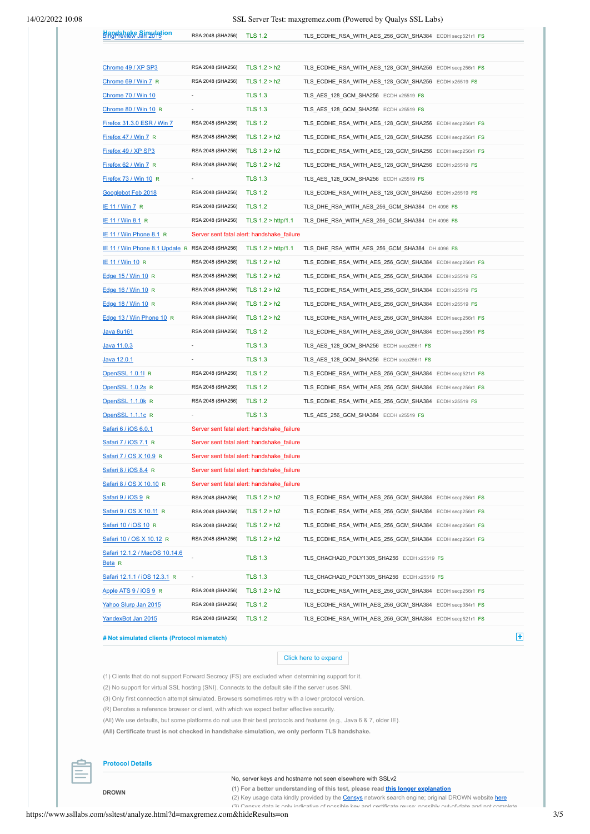## 14/02/2022 10:08 SSL Server Test: maxgremez.com (Powered by Qualys SSL Labs)

| <b>Blangshake Sinzulation</b>                    | RSA 2048 (SHA256)         | <b>TLS 1.2</b>                             | TLS_ECDHE_RSA_WITH_AES_256_GCM_SHA384 ECDH secp521r1 FS       |
|--------------------------------------------------|---------------------------|--------------------------------------------|---------------------------------------------------------------|
|                                                  |                           |                                            |                                                               |
| Chrome 49 / XP SP3                               | RSA 2048 (SHA256)         | TLS $1.2 > h2$                             | TLS_ECDHE_RSA_WITH_AES_128_GCM_SHA256 ECDH secp256r1 FS       |
| Chrome 69 / Win 7 R                              | RSA 2048 (SHA256)         | TLS $1.2 > h2$                             | TLS_ECDHE_RSA_WITH_AES_128_GCM_SHA256_ECDH x25519_FS          |
| Chrome 70 / Win 10                               |                           | <b>TLS 1.3</b>                             | TLS_AES_128_GCM_SHA256 ECDH x25519 FS                         |
| Chrome 80 / Win 10 R                             |                           | <b>TLS 1.3</b>                             | TLS_AES_128_GCM_SHA256 ECDH x25519 FS                         |
| Firefox 31.3.0 ESR / Win 7                       | RSA 2048 (SHA256)         | <b>TLS 1.2</b>                             | TLS_ECDHE_RSA_WITH_AES_128_GCM_SHA256 ECDH secp256r1 FS       |
| Firefox 47 / Win 7 R                             | RSA 2048 (SHA256)         | TLS 1.2 > h2                               | TLS_ECDHE_RSA_WITH_AES_128_GCM_SHA256 ECDH secp256r1 FS       |
| Firefox 49 / XP SP3                              | RSA 2048 (SHA256)         | TLS $1.2 > h2$                             | TLS_ECDHE_RSA_WITH_AES_128_GCM_SHA256    ECDH secp256r1    FS |
| Firefox 62 / Win 7 R                             | RSA 2048 (SHA256)         | TLS $1.2 > h2$                             | TLS_ECDHE_RSA_WITH_AES_128_GCM_SHA256 ECDH x25519 FS          |
| Firefox 73 / Win 10 R                            |                           | <b>TLS 1.3</b>                             | TLS_AES_128_GCM_SHA256 ECDH x25519 FS                         |
| Googlebot Feb 2018                               | RSA 2048 (SHA256)         | <b>TLS 1.2</b>                             | TLS_ECDHE_RSA_WITH_AES_128_GCM_SHA256 ECDH x25519 FS          |
| <b>IE 11 / Win 7 R</b>                           | RSA 2048 (SHA256)         | <b>TLS 1.2</b>                             | TLS_DHE_RSA_WITH_AES_256_GCM_SHA384 DH 4096 FS                |
| IE 11 / Win 8.1 R                                |                           | RSA 2048 (SHA256) TLS 1.2 > http/1.1       | TLS_DHE_RSA_WITH_AES_256_GCM_SHA384 DH 4096 FS                |
| <b>IE 11 / Win Phone 8.1 R</b>                   |                           | Server sent fatal alert: handshake failure |                                                               |
| IE 11 / Win Phone 8.1 Update R RSA 2048 (SHA256) |                           | TLS $1.2 > \frac{\text{http/1.1}}{}$       | TLS DHE RSA WITH AES 256 GCM SHA384 DH 4096 FS                |
| <b>IE 11 / Win 10 R</b>                          | RSA 2048 (SHA256)         | TLS $1.2 > h2$                             | TLS_ECDHE_RSA_WITH_AES_256_GCM_SHA384 ECDH secp256r1 FS       |
| Edge 15 / Win 10 R                               | RSA 2048 (SHA256)         | TLS 1.2 > h2                               | TLS ECDHE RSA WITH AES 256 GCM SHA384 ECDH x25519 FS          |
| Edge 16 / Win 10 R                               | RSA 2048 (SHA256)         | TLS 1.2 > h2                               | TLS_ECDHE_RSA_WITH_AES_256_GCM_SHA384 ECDH x25519 FS          |
| Edge 18 / Win 10 R                               | RSA 2048 (SHA256)         | TLS $1.2 > h2$                             | TLS_ECDHE_RSA_WITH_AES_256_GCM_SHA384 ECDH x25519 FS          |
| Edge 13 / Win Phone 10 R                         | RSA 2048 (SHA256)         | TLS $1.2 > h2$                             | TLS_ECDHE_RSA_WITH_AES_256_GCM_SHA384    ECDH secp256r1    FS |
| <u>Java 8u161</u>                                | RSA 2048 (SHA256)         | <b>TLS 1.2</b>                             | TLS_ECDHE_RSA_WITH_AES_256_GCM_SHA384 ECDH secp256r1 FS       |
| Java 11.0.3                                      |                           | <b>TLS 1.3</b>                             | TLS_AES_128_GCM_SHA256 ECDH secp256r1 FS                      |
| Java 12.0.1                                      |                           | <b>TLS 1.3</b>                             | TLS_AES_128_GCM_SHA256 ECDH secp256r1 FS                      |
| OpenSSL 1.0.11 R                                 | RSA 2048 (SHA256)         | <b>TLS 1.2</b>                             | TLS_ECDHE_RSA_WITH_AES_256_GCM_SHA384 ECDH secp521r1 FS       |
| OpenSSL 1.0.2s R                                 | RSA 2048 (SHA256) TLS 1.2 |                                            | TLS_ECDHE_RSA_WITH_AES_256_GCM_SHA384 ECDH secp256r1 FS       |
| OpenSSL 1.1.0k R                                 | RSA 2048 (SHA256)         | <b>TLS 1.2</b>                             | TLS_ECDHE_RSA_WITH_AES_256_GCM_SHA384 ECDH x25519 FS          |
|                                                  |                           |                                            |                                                               |
| OpenSSL 1.1.1c R                                 |                           | <b>TLS 1.3</b>                             | TLS_AES_256_GCM_SHA384 ECDH x25519_FS                         |
| Safari 6 / iOS 6.0.1                             |                           | Server sent fatal alert: handshake_failure |                                                               |
| Safari 7/iOS 7.1 R                               |                           | Server sent fatal alert: handshake_failure |                                                               |
| Safari 7 / OS X 10.9 R                           |                           | Server sent fatal alert: handshake_failure |                                                               |
| Safari 8 / iOS 8.4 R                             |                           | Server sent fatal alert: handshake_failure |                                                               |
| Safari 8 / OS X 10.10 R                          |                           | Server sent fatal alert: handshake failure |                                                               |
| Safari 9 / iOS 9 R                               | RSA 2048 (SHA256)         | TLS $1.2 > h2$                             | TLS_ECDHE_RSA_WITH_AES_256_GCM_SHA384 ECDH secp256r1 FS       |
| Safari 9 / OS X 10.11 R                          | RSA 2048 (SHA256)         | TLS $1.2 > h2$                             | TLS_ECDHE_RSA_WITH_AES_256_GCM_SHA384_ECDH secp256r1_FS       |
| Safari 10 / iOS 10 R                             | RSA 2048 (SHA256)         | TLS $1.2 > h2$                             | TLS_ECDHE_RSA_WITH_AES_256_GCM_SHA384_ECDH secp256r1_FS       |
| <u>Safari 10 / OS X 10.12</u> R                  | RSA 2048 (SHA256)         | TLS $1.2 > h2$                             | TLS_ECDHE_RSA_WITH_AES_256_GCM_SHA384_ECDH secp256r1_FS       |
| Safari 12.1.2 / MacOS 10.14.6<br><u>Beta</u> R   |                           | <b>TLS 1.3</b>                             | TLS CHACHA20 POLY1305 SHA256 ECDH x25519 FS                   |
| <u>Safari 12.1.1 / iOS 12.3.1</u> R              |                           | <b>TLS 1.3</b>                             | TLS_CHACHA20_POLY1305_SHA256 ECDH x25519 FS                   |
| Apple ATS 9 / iOS 9 R                            | RSA 2048 (SHA256)         | TLS $1.2 > h2$                             | TLS_ECDHE_RSA_WITH_AES_256_GCM_SHA384_ECDH secp256r1_FS       |
| Yahoo Slurp Jan 2015                             | RSA 2048 (SHA256)         | <b>TLS 1.2</b>                             | TLS_ECDHE_RSA_WITH_AES_256_GCM_SHA384    ECDH secp384r1    FS |
|                                                  |                           |                                            |                                                               |

## **# Not simulated clients (Protocol mismatch)**

#### Click here to expand

(1) Clients that do not support Forward Secrecy (FS) are excluded when determining support for it.

(2) No support for virtual SSL hosting (SNI). Connects to the default site if the server uses SNI.

(3) Only first connection attempt simulated. Browsers sometimes retry with a lower protocol version.

(R) Denotes a reference browser or client, with which we expect better effective security.

(All) We use defaults, but some platforms do not use their best protocols and features (e.g., Java 6 & 7, older IE).

**(All) Certificate trust is not checked in handshake simulation, we only perform TLS handshake.**



#### **Protocol Details**

**DROWN**

No, server keys and hostname not seen elsewhere with SSLv2

**(1) For a better understanding of this test, please read [this longer explanation](https://blog.qualys.com/securitylabs/2016/03/04/ssl-labs-drown-test-implementation-details)**

(2) Key usage data kindly provided by the **[Censys](https://censys.io/)** network search engine; original DROWN website [here](https://drownattack.com/) (3) Censys data is only indicative of possible key and certificate reuse; possibly out-of-date and not complete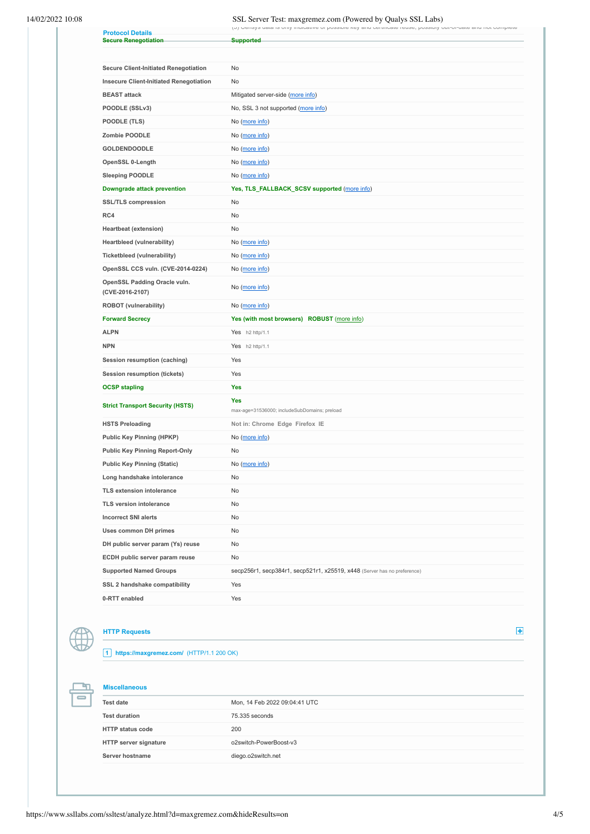# 14/02/2022 10:08 SSL Server Test: maxgremez.com (Powered by Qualys SSL Labs)

| ו טן טפווסץס עמומ וס טוווץ ווועוטמוזיפ טו טעססוטופ גפץ מווע טפונוווטמופ ופעספ, טעססוטוץ טענ־טו־עמופ מווע ווטנ טטוווטופופ |  |  |
|--------------------------------------------------------------------------------------------------------------------------|--|--|

|                                                        | (n) Actiole not to multimetrize of hospinic velocitive compositive cost, hospinal and not combinete |
|--------------------------------------------------------|-----------------------------------------------------------------------------------------------------|
| <b>Protocol Details</b><br><b>Secure Renegotiation</b> | <b>Supported</b>                                                                                    |
|                                                        |                                                                                                     |
|                                                        |                                                                                                     |
| <b>Secure Client-Initiated Renegotiation</b>           | No                                                                                                  |
| <b>Insecure Client-Initiated Renegotiation</b>         | No                                                                                                  |
| <b>BEAST</b> attack                                    | Mitigated server-side (more info)                                                                   |
| POODLE (SSLv3)                                         | No, SSL 3 not supported (more info)                                                                 |
| POODLE (TLS)                                           | No (more info)                                                                                      |
| Zombie POODLE                                          | No (more info)                                                                                      |
| <b>GOLDENDOODLE</b>                                    | No (more info)                                                                                      |
| OpenSSL 0-Length                                       | No (more info)                                                                                      |
| <b>Sleeping POODLE</b>                                 | No (more info)                                                                                      |
| Downgrade attack prevention                            | Yes, TLS_FALLBACK_SCSV supported (more info)                                                        |
| <b>SSL/TLS compression</b>                             | No                                                                                                  |
| RC4                                                    | No                                                                                                  |
| <b>Heartbeat (extension)</b>                           | No                                                                                                  |
| Heartbleed (vulnerability)                             | No (more info)                                                                                      |
| Ticketbleed (vulnerability)                            | No (more info)                                                                                      |
| OpenSSL CCS vuln. (CVE-2014-0224)                      | No (more info)                                                                                      |
| OpenSSL Padding Oracle vuln.<br>(CVE-2016-2107)        | No (more info)                                                                                      |
| <b>ROBOT</b> (vulnerability)                           | No (more info)                                                                                      |
|                                                        |                                                                                                     |
| <b>Forward Secrecy</b>                                 | Yes (with most browsers) ROBUST (more info)                                                         |
| <b>ALPN</b>                                            | Yes h2 http/1.1                                                                                     |
| <b>NPN</b>                                             | Yes h2 http/1.1                                                                                     |
| Session resumption (caching)                           | Yes                                                                                                 |
| <b>Session resumption (tickets)</b>                    | Yes                                                                                                 |
| <b>OCSP stapling</b>                                   | Yes                                                                                                 |
| <b>Strict Transport Security (HSTS)</b>                | Yes<br>max-age=31536000; includeSubDomains; preload                                                 |
| <b>HSTS Preloading</b>                                 | Not in: Chrome Edge Firefox IE                                                                      |
| <b>Public Key Pinning (HPKP)</b>                       | No (more info)                                                                                      |
| <b>Public Key Pinning Report-Only</b>                  | No                                                                                                  |
| <b>Public Key Pinning (Static)</b>                     | No (more info)                                                                                      |
| Long handshake intolerance                             | No                                                                                                  |
| <b>TLS extension intolerance</b>                       | No                                                                                                  |
| <b>TLS version intolerance</b>                         | No                                                                                                  |
| <b>Incorrect SNI alerts</b>                            | No                                                                                                  |
| <b>Uses common DH primes</b>                           | No                                                                                                  |
| DH public server param (Ys) reuse                      | No                                                                                                  |
| ECDH public server param reuse                         | No                                                                                                  |
| <b>Supported Named Groups</b>                          | secp256r1, secp384r1, secp521r1, x25519, x448 (Server has no preference)                            |
| SSL 2 handshake compatibility                          | Yes                                                                                                 |



'n  $\overline{\phantom{0}}$ 

## **HTTP Requests**

**1 https://maxgremez.com/** (HTTP/1.1 200 OK)

**Miscellaneous**

| <b>Test date</b>             | Mon, 14 Feb 2022 09:04:41 UTC |
|------------------------------|-------------------------------|
| <b>Test duration</b>         | 75.335 seconds                |
| <b>HTTP status code</b>      | 200                           |
| <b>HTTP server signature</b> | o2switch-PowerBoost-v3        |
| Server hostname              | diego.o2switch.net            |

https://www.ssllabs.com/ssltest/analyze.html?d=maxgremez.com&hideResults=on 4/5

 $\pm$